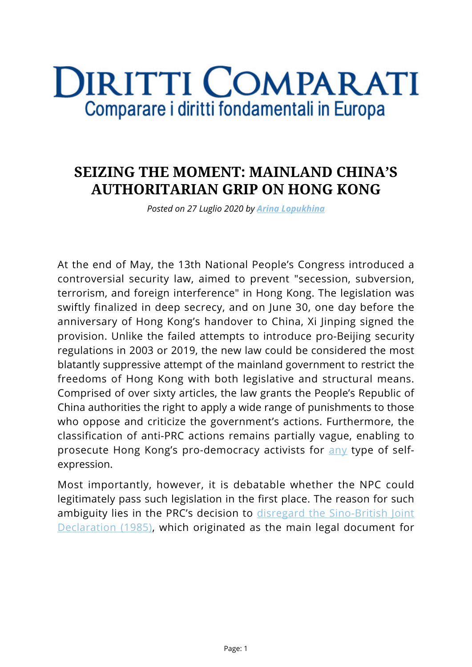## **DIRITTI COMPARATI** Comparare i diritti fondamentali in Europa

## **SEIZING THE MOMENT: MAINLAND CHINA'S AUTHORITARIAN GRIP ON HONG KONG**

*Posted on 27 Luglio 2020 by [Arina Lopukhina](https://www.diritticomparati.it/autore/arina-lopukhina/)*

At the end of May, the 13th National People's Congress introduced a controversial security law, aimed to prevent "secession, subversion, terrorism, and foreign interference" in Hong Kong. The legislation was swiftly finalized in deep secrecy, and on June 30, one day before the anniversary of Hong Kong's handover to China, Xi Jinping signed the provision. Unlike the failed attempts to introduce pro-Beijing security regulations in 2003 or 2019, the new law could be considered the most blatantly suppressive attempt of the mainland government to restrict the freedoms of Hong Kong with both legislative and structural means. Comprised of over sixty articles, the law grants the People's Republic of China authorities the right to apply a wide range of punishments to those who oppose and criticize the government's actions. Furthermore, the classification of anti-PRC actions remains partially vague, enabling to prosecute Hong Kong's pro-democracy activists for [any](https://hongkongfp.com/2020/07/06/security-law-hong-kong-police-arrest-8-at-blank-placard-silent-protest/) type of selfexpression.

Most importantly, however, it is debatable whether the NPC could legitimately pass such legislation in the first place. The reason for such ambiguity lies in the PRC's decision to [disregard the Sino-British Joint](https://www.reuters.com/article/us-hongkong-anniversary-china/china-says-sino-british-joint-declaration-on-hong-kong-no-longer-has-meaning-idUSKBN19L1J1) [Declaration \(1985\)](https://www.reuters.com/article/us-hongkong-anniversary-china/china-says-sino-british-joint-declaration-on-hong-kong-no-longer-has-meaning-idUSKBN19L1J1), which originated as the main legal document for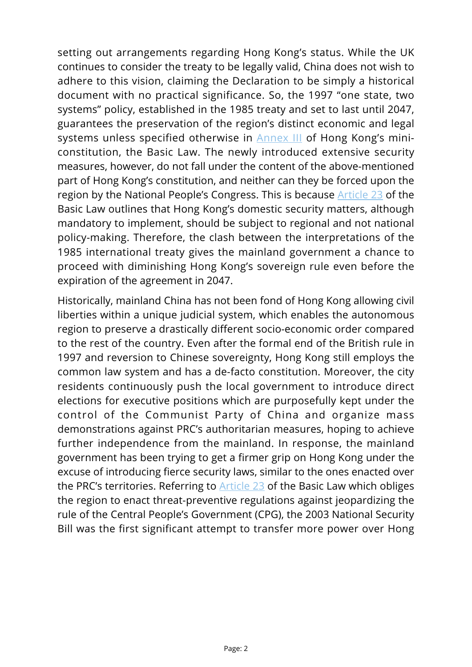setting out arrangements regarding Hong Kong's status. While the UK continues to consider the treaty to be legally valid, China does not wish to adhere to this vision, claiming the Declaration to be simply a historical document with no practical significance. So, the 1997 "one state, two systems" policy, established in the 1985 treaty and set to last until 2047, guarantees the preservation of the region's distinct economic and legal systems unless specified otherwise in [Annex III](https://www.basiclaw.gov.hk/en/basiclawtext/images/basiclawtext_doc5.pdf) of Hong Kong's miniconstitution, the Basic Law. The newly introduced extensive security measures, however, do not fall under the content of the above-mentioned part of Hong Kong's constitution, and neither can they be forced upon the region by the National People's Congress. This is because [Article 23](https://www.basiclaw.gov.hk/en/basiclawtext/chapter_2.html) of the Basic Law outlines that Hong Kong's domestic security matters, although mandatory to implement, should be subject to regional and not national policy-making. Therefore, the clash between the interpretations of the 1985 international treaty gives the mainland government a chance to proceed with diminishing Hong Kong's sovereign rule even before the expiration of the agreement in 2047.

Historically, mainland China has not been fond of Hong Kong allowing civil liberties within a unique judicial system, which enables the autonomous region to preserve a drastically different socio-economic order compared to the rest of the country. Even after the formal end of the British rule in 1997 and reversion to Chinese sovereignty, Hong Kong still employs the common law system and has a de-facto constitution. Moreover, the city residents continuously push the local government to introduce direct elections for executive positions which are purposefully kept under the control of the Communist Party of China and organize mass demonstrations against PRC's authoritarian measures, hoping to achieve further independence from the mainland. In response, the mainland government has been trying to get a firmer grip on Hong Kong under the excuse of introducing fierce security laws, similar to the ones enacted over the PRC's territories. Referring to [Article 23](https://www.basiclaw.gov.hk/en/basiclawtext/chapter_2.html) of the Basic Law which obliges the region to enact threat-preventive regulations against jeopardizing the rule of the Central People's Government (CPG), the 2003 National Security Bill was the first significant attempt to transfer more power over Hong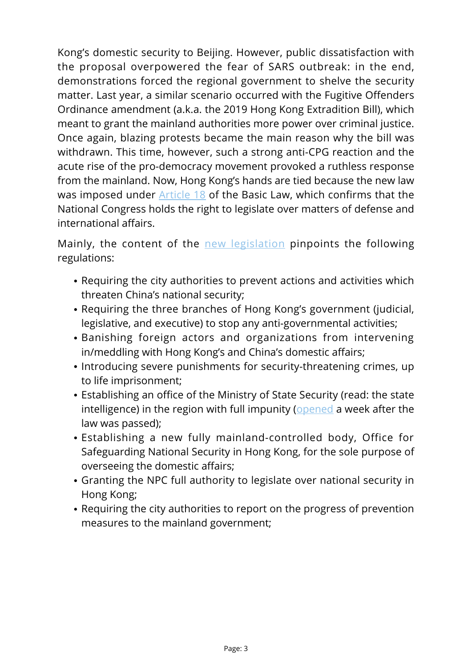Kong's domestic security to Beijing. However, public dissatisfaction with the proposal overpowered the fear of SARS outbreak: in the end, demonstrations forced the regional government to shelve the security matter. Last year, a similar scenario occurred with the Fugitive Offenders Ordinance amendment (a.k.a. the 2019 Hong Kong Extradition Bill), which meant to grant the mainland authorities more power over criminal justice. Once again, blazing protests became the main reason why the bill was withdrawn. This time, however, such a strong anti-CPG reaction and the acute rise of the pro-democracy movement provoked a ruthless response from the mainland. Now, Hong Kong's hands are tied because the new law was imposed under **[Article 18](https://www.basiclaw.gov.hk/en/basiclawtext/chapter_2.html)** of the Basic Law, which confirms that the National Congress holds the right to legislate over matters of defense and international affairs.

Mainly, the content of the [new legislation](https://hongkongfp.com/2020/07/01/in-full-english-translation-of-the-hong-kong-national-security-law/) pinpoints the following regulations:

- Requiring the city authorities to prevent actions and activities which threaten China's national security;
- Requiring the three branches of Hong Kong's government (judicial, legislative, and executive) to stop any anti-governmental activities;
- Banishing foreign actors and organizations from intervening in/meddling with Hong Kong's and China's domestic affairs;
- Introducing severe punishments for security-threatening crimes, up to life imprisonment;
- Establishing an office of the Ministry of State Security (read: the state intelligence) in the region with full impunity ([opened](https://www.bbc.com/news/world-asia-china-53330650) a week after the law was passed);
- Establishing a new fully mainland-controlled body, Office for Safeguarding National Security in Hong Kong, for the sole purpose of overseeing the domestic affairs;
- Granting the NPC full authority to legislate over national security in Hong Kong;
- Requiring the city authorities to report on the progress of prevention measures to the mainland government;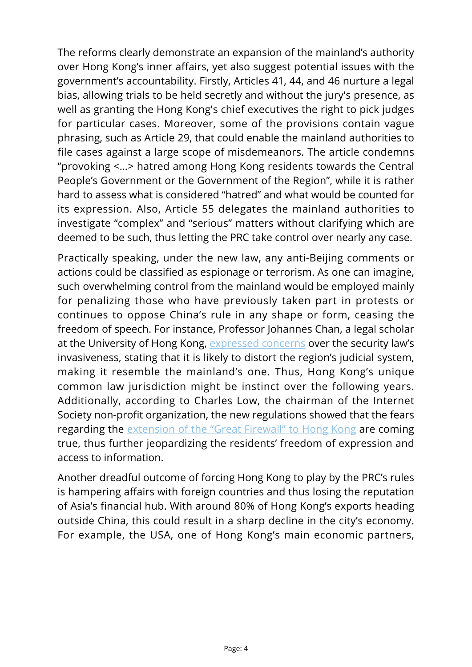The reforms clearly demonstrate an expansion of the mainland's authority over Hong Kong's inner affairs, yet also suggest potential issues with the government's accountability. Firstly, Articles 41, 44, and 46 nurture a legal bias, allowing trials to be held secretly and without the jury's presence, as well as granting the Hong Kong's chief executives the right to pick judges for particular cases. Moreover, some of the provisions contain vague phrasing, such as Article 29, that could enable the mainland authorities to file cases against a large scope of misdemeanors. The article condemns "provoking <…> hatred among Hong Kong residents towards the Central People's Government or the Government of the Region", while it is rather hard to assess what is considered "hatred" and what would be counted for its expression. Also, Article 55 delegates the mainland authorities to investigate "complex" and "serious" matters without clarifying which are deemed to be such, thus letting the PRC take control over nearly any case.

Practically speaking, under the new law, any anti-Beijing comments or actions could be classified as espionage or terrorism. As one can imagine, such overwhelming control from the mainland would be employed mainly for penalizing those who have previously taken part in protests or continues to oppose China's rule in any shape or form, ceasing the freedom of speech. For instance, Professor Johannes Chan, a legal scholar at the University of Hong Kong, [expressed concerns](https://www.bbc.com/news/world-asia-china-52765838) over the security law's invasiveness, stating that it is likely to distort the region's judicial system, making it resemble the mainland's one. Thus, Hong Kong's unique common law jurisdiction might be instinct over the following years. Additionally, according to Charles Low, the chairman of the Internet Society non-profit organization, the new regulations showed that the fears regarding the [extension of the "Great Firewall" to Hong Kong](https://www.theguardian.com/world/2020/jul/08/china-great-firewall-descends-hong-kong-internet-users) are coming true, thus further jeopardizing the residents' freedom of expression and access to information.

Another dreadful outcome of forcing Hong Kong to play by the PRC's rules is hampering affairs with foreign countries and thus losing the reputation of Asia's financial hub. With around 80% of Hong Kong's exports heading outside China, this could result in a sharp decline in the city's economy. For example, the USA, one of Hong Kong's main economic partners,